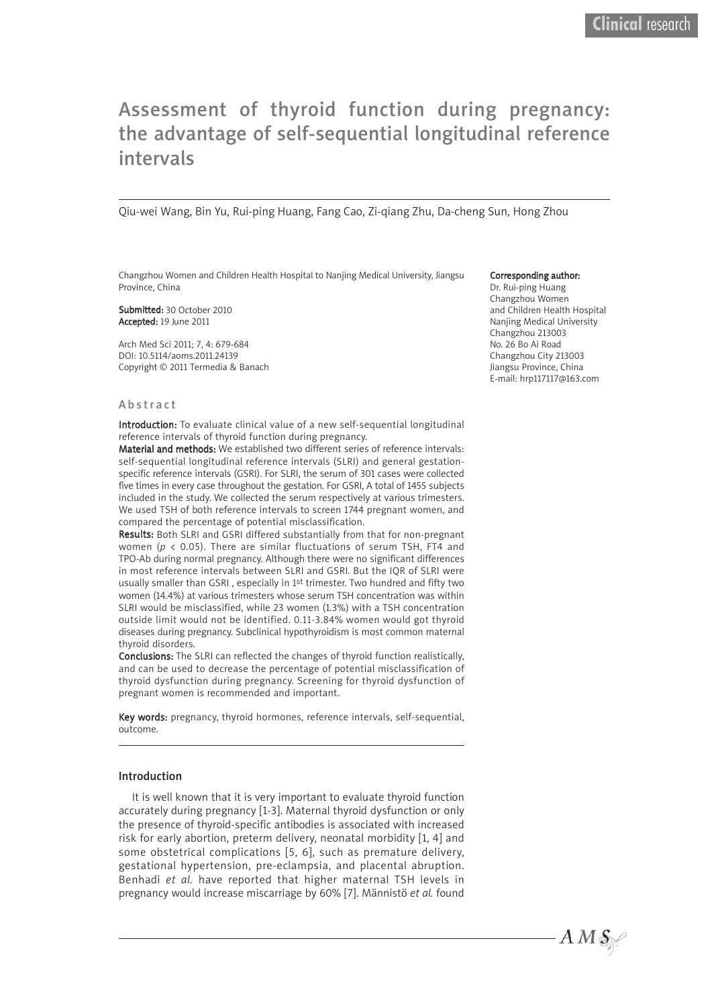# Assessment of thyroid function during pregnancy: the advantage of self-sequential longitudinal reference intervals

Qiu-wei Wang, Bin Yu, Rui-ping Huang, Fang Cao, Zi-qiang Zhu, Da-cheng Sun, Hong Zhou

Changzhou Women and Children Health Hospital to Nanjing Medical University, Jiangsu Province, China

Submitted: 30 October 2010 Accepted: 19 June 2011

Arch Med Sci 2011; 7, 4: 679-684 DOI: 10.5114/aoms.2011.24139 Copyright © 2011 Termedia & Banach

#### Corresponding author:

Dr. Rui-ping Huang Changzhou Women and Children Health Hospital Nanjing Medical University Changzhou 213003 No. 26 Bo Ai Road Changzhou City 213003 Jiangsu Province, China E-mail: hrp117117@163.com

#### A b s tr a c t

Introduction: To evaluate clinical value of a new self-sequential longitudinal reference intervals of thyroid function during pregnancy.

Material and methods: We established two different series of reference intervals: self-sequential longitudinal reference intervals (SLRI) and general gestationspecific reference intervals (GSRI). For SLRI, the serum of 301 cases were collected five times in every case throughout the gestation. For GSRI, A total of 1455 subjects included in the study. We collected the serum respectively at various trimesters. We used TSH of both reference intervals to screen 1744 pregnant women, and compared the percentage of potential misclassification.

Results: Both SLRI and GSRI differed substantially from that for non-pregnant women (*p* < 0.05). There are similar fluctuations of serum TSH, FT4 and TPO-Ab during normal pregnancy. Although there were no significant differences in most reference intervals between SLRI and GSRI. But the IQR of SLRI were usually smaller than GSRI , especially in 1st trimester. Two hundred and fifty two women (14.4%) at various trimesters whose serum TSH concentration was within SLRI would be misclassified, while 23 women (1.3%) with a TSH concentration outside limit would not be identified. 0.11-3.84% women would got thyroid diseases during pregnancy. Subclinical hypothyroidism is most common maternal thyroid disorders.

Conclusions: The SLRI can reflected the changes of thyroid function realistically, and can be used to decrease the percentage of potential misclassification of thyroid dysfunction during pregnancy. Screening for thyroid dysfunction of pregnant women is recommended and important.

Key words: pregnancy, thyroid hormones, reference intervals, self-sequential, outcome.

#### Introduction

It is well known that it is very important to evaluate thyroid function accurately during pregnancy [1-3]. Maternal thyroid dysfunction or only the presence of thyroid-specific antibodies is associated with increased risk for early abortion, preterm delivery, neonatal morbidity [1, 4] and some obstetrical complications [5, 6], such as premature delivery, gestational hypertension, pre-eclampsia, and placental abruption. Benhadi *et al.* have reported that higher maternal TSH levels in pregnancy would increase miscarriage by 60% [7]. Männistö *et al.* found

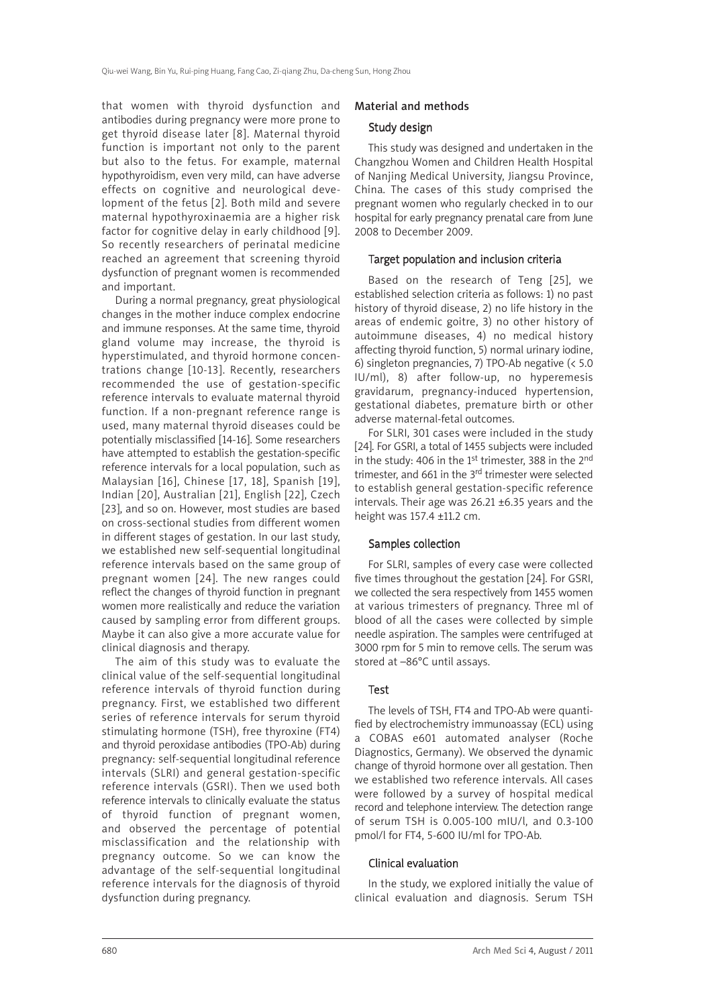that women with thyroid dysfunction and antibodies during pregnancy were more prone to get thyroid disease later [8]. Maternal thyroid function is important not only to the parent but also to the fetus. For example, maternal hypothyroidism, even very mild, can have adverse effects on cognitive and neurological development of the fetus [2]. Both mild and severe maternal hypothyroxinaemia are a higher risk factor for cognitive delay in early childhood [9]. So recently researchers of perinatal medicine reached an agreement that screening thyroid dysfunction of pregnant women is recommended and important.

During a normal pregnancy, great physiological changes in the mother induce complex endocrine and immune responses. At the same time, thyroid gland volume may increase, the thyroid is hyperstimulated, and thyroid hormone concentrations change [10-13]. Recently, researchers recommended the use of gestation-specific reference intervals to evaluate maternal thyroid function. If a non-pregnant reference range is used, many maternal thyroid diseases could be potentially misclassified [14-16]. Some researchers have attempted to establish the gestation-specific reference intervals for a local population, such as Malaysian [16], Chinese [17, 18], Spanish [19], Indian [20], Australian [21], English [22], Czech [23], and so on. However, most studies are based on cross-sectional studies from different women in different stages of gestation. In our last study, we established new self-sequential longitudinal reference intervals based on the same group of pregnant women [24]. The new ranges could reflect the changes of thyroid function in pregnant women more realistically and reduce the variation caused by sampling error from different groups. Maybe it can also give a more accurate value for clinical diagnosis and therapy.

The aim of this study was to evaluate the clinical value of the self-sequential longitudinal reference intervals of thyroid function during pregnancy. First, we established two different series of reference intervals for serum thyroid stimulating hormone (TSH), free thyroxine (FT4) and thyroid peroxidase antibodies (TPO-Ab) during pregnancy: self-sequential longitudinal reference intervals (SLRI) and general gestation-specific reference intervals (GSRI). Then we used both reference intervals to clinically evaluate the status of thyroid function of pregnant women, and observed the percentage of potential misclassification and the relationship with pregnancy outcome. So we can know the advantage of the self-sequential longitudinal reference intervals for the diagnosis of thyroid dysfunction during pregnancy.

## Material and methods

## Study design

This study was designed and undertaken in the Changzhou Women and Children Health Hospital of Nanjing Medical University, Jiangsu Province, China. The cases of this study comprised the pregnant women who regularly checked in to our hospital for early pregnancy prenatal care from June 2008 to December 2009.

## Target population and inclusion criteria

Based on the research of Teng [25], we established selection criteria as follows: 1) no past history of thyroid disease, 2) no life history in the areas of endemic goitre, 3) no other history of autoimmune diseases, 4) no medical history affecting thyroid function, 5) normal urinary iodine, 6) singleton pregnancies, 7) TPO-Ab negative (< 5.0 IU/ml), 8) after follow-up, no hyperemesis gravidarum, pregnancy-induced hypertension, gestational diabetes, premature birth or other adverse maternal-fetal outcomes.

For SLRI, 301 cases were included in the study [24]. For GSRI, a total of 1455 subjects were included in the study: 406 in the 1<sup>st</sup> trimester, 388 in the 2<sup>nd</sup> trimester, and 661 in the 3<sup>rd</sup> trimester were selected to establish general gestation-specific reference intervals. Their age was 26.21 ±6.35 years and the height was 157.4 ±11.2 cm.

# Samples collection

For SLRI, samples of every case were collected five times throughout the gestation [24]. For GSRI, we collected the sera respectively from 1455 women at various trimesters of pregnancy. Three ml of blood of all the cases were collected by simple needle aspiration. The samples were centrifuged at 3000 rpm for 5 min to remove cells. The serum was stored at –86°C until assays.

## Test

The levels of TSH, FT4 and TPO-Ab were quantified by electrochemistry immunoassay (ECL) using a COBAS e601 automated analyser (Roche Diagnostics, Germany). We observed the dynamic change of thyroid hormone over all gestation. Then we established two reference intervals. All cases were followed by a survey of hospital medical record and telephone interview. The detection range of serum TSH is 0.005-100 mIU/l, and 0.3-100 pmol/l for FT4, 5-600 IU/ml for TPO-Ab.

## Clinical evaluation

In the study, we explored initially the value of clinical evaluation and diagnosis. Serum TSH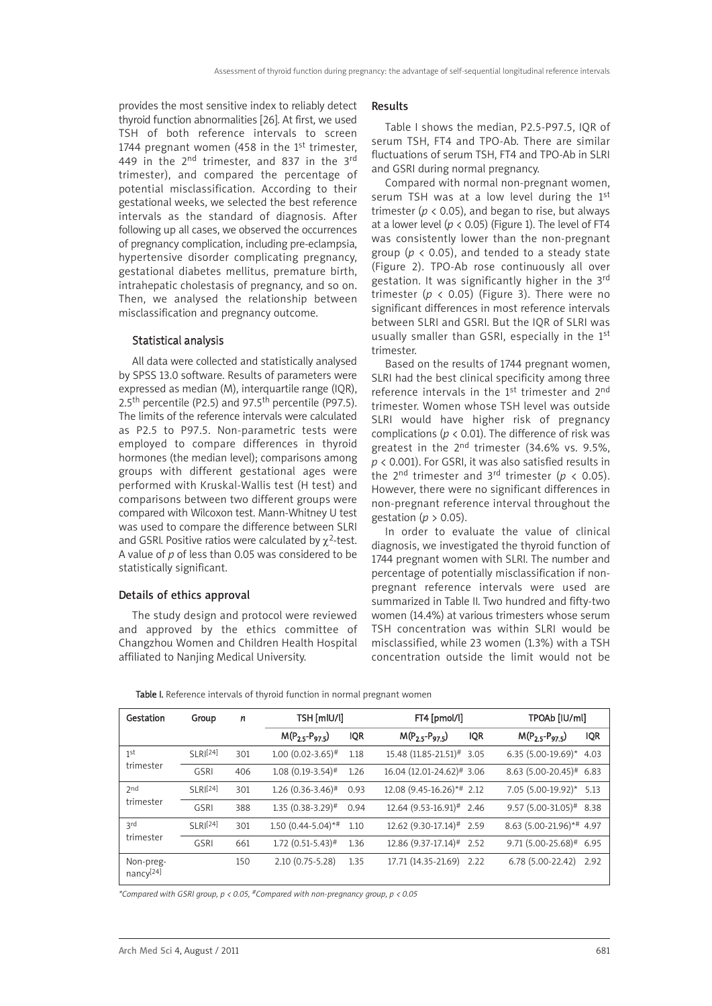provides the most sensitive index to reliably detect thyroid function abnormalities [26]. At first, we used TSH of both reference intervals to screen 1744 pregnant women (458 in the  $1<sup>st</sup>$  trimester, 449 in the 2<sup>nd</sup> trimester, and 837 in the 3<sup>rd</sup> trimester), and compared the percentage of potential misclassification. According to their gestational weeks, we selected the best reference intervals as the standard of diagnosis. After following up all cases, we observed the occurrences of pregnancy complication, including pre-eclampsia, hypertensive disorder complicating pregnancy, gestational diabetes mellitus, premature birth, intrahepatic cholestasis of pregnancy, and so on. Then, we analysed the relationship between misclassification and pregnancy outcome.

#### Statistical analysis

All data were collected and statistically analysed by SPSS 13.0 software. Results of parameters were expressed as median (M), interquartile range (IOR), 2.5<sup>th</sup> percentile (P2.5) and 97.5<sup>th</sup> percentile (P97.5). The limits of the reference intervals were calculated as P2.5 to P97.5. Non-parametric tests were employed to compare differences in thyroid hormones (the median level); comparisons among groups with different gestational ages were performed with Kruskal-Wallis test (H test) and comparisons between two different groups were compared with Wilcoxon test. Mann-Whitney U test was used to compare the difference between SLRI and GSRI. Positive ratios were calculated by  $\chi^2$ -test. A value of *p* of less than 0.05 was considered to be statistically significant.

#### Details of ethics approval

The study design and protocol were reviewed and approved by the ethics committee of Changzhou Women and Children Health Hospital affiliated to Nanjing Medical University.

#### Results

Table I shows the median, P2.5-P97.5, IQR of serum TSH, FT4 and TPO-Ab. There are similar fluctuations of serum TSH, FT4 and TPO-Ab in SLRL and GSRI during normal pregnancy.

Compared with normal non-pregnant women, serum TSH was at a low level during the 1<sup>st</sup> trimester ( $p < 0.05$ ), and began to rise, but always at a lower level ( $p < 0.05$ ) (Figure 1). The level of FT4 was consistently lower than the non-pregnant group ( $p \lt 0.05$ ), and tended to a steady state (Figure 2). TPO-Ab rose continuously all over gestation. It was significantly higher in the 3rd trimester ( $p \lt 0.05$ ) (Figure 3). There were no significant differences in most reference intervals between SLRI and GSRI. But the IQR of SLRI was usually smaller than GSRI, especially in the 1<sup>st</sup> trimester.

Based on the results of 1744 pregnant women, SLRI had the best clinical specificity among three reference intervals in the 1<sup>st</sup> trimester and 2<sup>nd</sup> trimester. Women whose TSH level was outside SLRI would have higher risk of pregnancy complications ( $p < 0.01$ ). The difference of risk was greatest in the 2nd trimester (34.6% vs. 9.5%, *p* < 0.001). For GSRI, it was also satisfied results in the 2<sup>nd</sup> trimester and 3<sup>rd</sup> trimester ( $p < 0.05$ ). However, there were no significant differences in non-pregnant reference interval throughout the gestation (*p* > 0.05).

In order to evaluate the value of clinical diagnosis, we investigated the thyroid function of 1744 pregnant women with SLRI. The number and percentage of potentially misclassification if nonpregnant reference intervals were used are summarized in Table II. Two hundred and fifty-two women (14.4%) at various trimesters whose serum TSH concentration was within SLRI would be misclassified, while 23 women (1.3%) with a TSH concentration outside the limit would not be

Table I. Reference intervals of thyroid function in normal pregnant women

| Gestation                          | Group          | n   | TSH [mlU/l]                     |            | FT4 [pmol/l]                           |            | TPOAb [IU/ml]                         |            |
|------------------------------------|----------------|-----|---------------------------------|------------|----------------------------------------|------------|---------------------------------------|------------|
|                                    |                |     | $M(P_{2.5}-P_{97.5})$           | <b>IQR</b> | $M(P_{2.5}-P_{97.5})$                  | <b>IQR</b> | $M(P_{2.5}-P_{97.5})$                 | <b>IQR</b> |
| 1st<br>trimester                   | $SI$ RI $[24]$ | 301 | $1.00(0.02 - 3.65)^{\#}$        | 1.18       | 15.48 (11.85-21.51)# 3.05              |            | 6.35 $(5.00-19.69)^*$ 4.03            |            |
|                                    | <b>GSRI</b>    | 406 | $1.08(0.19-3.54)$ <sup>#</sup>  | 1.26       | 16.04 (12.01-24.62)# 3.06              |            | $8.63$ (5.00-20.45) <sup>#</sup> 6.83 |            |
| 2 <sub>nd</sub><br>trimester       | $SI$ RI $[24]$ | 301 | $1.26$ (0.36-3.46) <sup>#</sup> | 0.93       | 12.08 (9.45-16.26)*# 2.12              |            | $7.05(5.00-19.92)^*$ 5.13             |            |
|                                    | <b>GSRI</b>    | 388 | $1.35(0.38-3.29)$ <sup>#</sup>  | 0.94       | $12.64$ (9.53-16.91) <sup>#</sup> 2.46 |            | $9.57(5.00-31.05)^{#}$ 8.38           |            |
| ιd<br>trimester                    | $SI$ RI $[24]$ | 301 | $1.50(0.44 - 5.04)$ *#          | 1.10       | 12.62 (9.30-17.14)# 2.59               |            | 8.63 (5.00-21.96)*# 4.97              |            |
|                                    | <b>GSRI</b>    | 661 | $1.72$ (0.51-5.43) <sup>#</sup> | 1.36       | $12.86$ (9.37-17.14) <sup>#</sup> 2.52 |            | $9.71(5.00-25.68)^{#}$ 6.95           |            |
| Non-preg-<br>nancy <sup>[24]</sup> |                | 150 | $2.10(0.75 - 5.28)$             | 1.35       | 17.71 (14.35-21.69)                    | 2.22       | 6.78 (5.00-22.42)                     | 2.92       |

*\*Compared with GSRI group, p < 0.05, #Compared with non-pregnancy group, p < 0.05*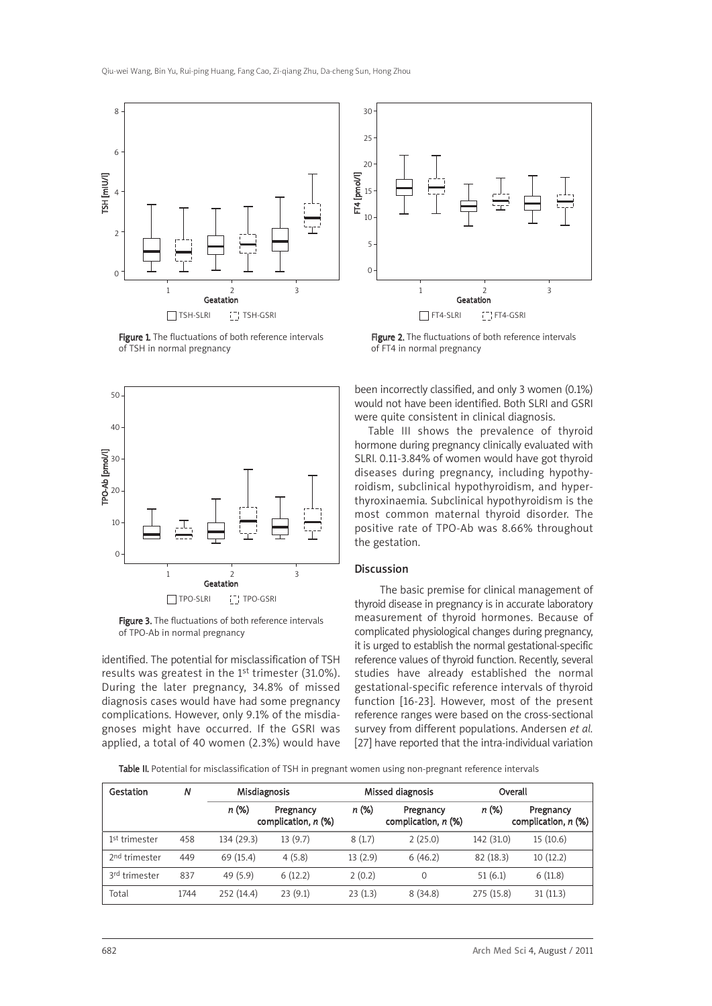

Figure 1. The fluctuations of both reference intervals of TSH in normal pregnancy



Figure 3. The fluctuations of both reference intervals of TPO-Ab in normal pregnancy

identified. The potential for misclassification of TSH results was greatest in the 1<sup>st</sup> trimester (31.0%). During the later pregnancy, 34.8% of missed diagnosis cases would have had some pregnancy complications. However, only 9.1% of the misdiagnoses might have occurred. If the GSRI was applied, a total of 40 women (2.3%) would have



Figure 2. The fluctuations of both reference intervals of FT4 in normal pregnancy

been incorrectly classified, and only 3 women (0.1%) would not have been identified. Both SLRI and GSRI were quite consistent in clinical diagnosis.

Table III shows the prevalence of thyroid hormone during pregnancy clinically evaluated with SLRI. 0.11-3.84% of women would have got thyroid diseases during pregnancy, including hypothyroidism, subclinical hypothyroidism, and hyperthyroxinaemia. Subclinical hypothyroidism is the most common maternal thyroid disorder. The positive rate of TPO-Ab was 8.66% throughout the gestation.

## Discussion

The basic premise for clinical management of thyroid disease in pregnancy is in accurate laboratory measurement of thyroid hormones. Because of complicated physiological changes during pregnancy, it is urged to establish the normal gestational-specific reference values of thyroid function. Recently, several studies have already established the normal gestational-specific reference intervals of thyroid function [16-23]. However, most of the present reference ranges were based on the cross-sectional survey from different populations. Andersen *et al.* [27] have reported that the intra-individual variation

Table II. Potential for misclassification of TSH in pregnant women using non-pregnant reference intervals

| Gestation                 | N    | <b>Misdiagnosis</b> |                                    | Missed diagnosis |                                    |            | Overall                            |
|---------------------------|------|---------------------|------------------------------------|------------------|------------------------------------|------------|------------------------------------|
|                           |      | n (%)               | Pregnancy<br>complication, $n$ (%) | n (%)            | Pregnancy<br>complication, $n$ (%) | n (%)      | Pregnancy<br>complication, $n$ (%) |
| 1 <sup>st</sup> trimester | 458  | 134 (29.3)          | 13(9.7)                            | 8(1.7)           | 2(25.0)                            | 142 (31.0) | 15(10.6)                           |
| 2 <sup>nd</sup> trimester | 449  | 69 (15.4)           | 4(5.8)                             | 13(2.9)          | 6(46.2)                            | 82(18.3)   | 10(12.2)                           |
| 3rd trimester             | 837  | 49(5.9)             | 6(12.2)                            | 2(0.2)           | 0                                  | 51(6.1)    | 6(11.8)                            |
| Total                     | 1744 | 252 (14.4)          | 23(9.1)                            | 23(1.3)          | 8(34.8)                            | 275 (15.8) | 31(11.3)                           |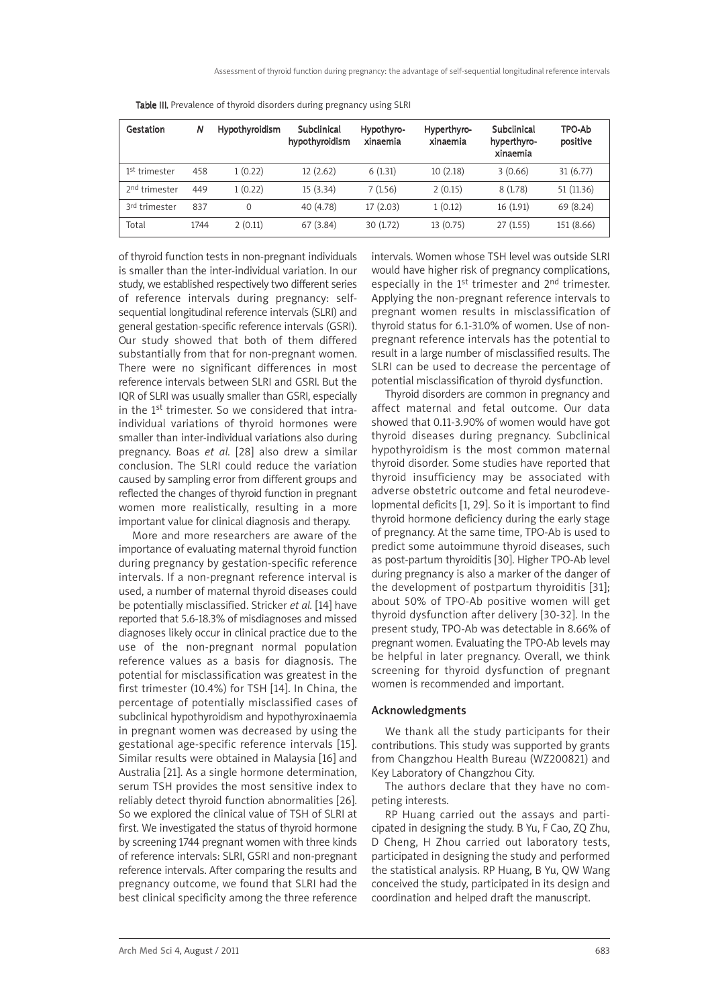| Gestation                 | N    | <b>Hypothyroidism</b> | Subclinical<br>hypothyroidism | Hypothyro-<br>xinaemia | Hyperthyro-<br>xinaemia | Subclinical<br>hyperthyro-<br>xinaemia | TPO-Ab<br>positive |
|---------------------------|------|-----------------------|-------------------------------|------------------------|-------------------------|----------------------------------------|--------------------|
| 1 <sup>st</sup> trimester | 458  | 1(0.22)               | 12(2.62)                      | 6(1.31)                | 10(2.18)                | 3(0.66)                                | 31(6.77)           |
| 2 <sup>nd</sup> trimester | 449  | 1(0.22)               | 15(3.34)                      | 7(1.56)                | 2(0.15)                 | 8(1.78)                                | 51 (11.36)         |
| 3rd trimester             | 837  | $\Omega$              | 40 (4.78)                     | 17(2.03)               | 1(0.12)                 | 16 (1.91)                              | 69 (8.24)          |
| Total                     | 1744 | 2(0.11)               | 67 (3.84)                     | 30(1.72)               | 13(0.75)                | 27(1.55)                               | 151 (8.66)         |

Table III. Prevalence of thyroid disorders during pregnancy using SLRI

of thyroid function tests in non-pregnant individuals is smaller than the inter-individual variation. In our study, we established respectively two different series of reference intervals during pregnancy: selfsequential longitudinal reference intervals (SLRI) and general gestation-specific reference intervals (GSRI). Our study showed that both of them differed substantially from that for non-pregnant women. There were no significant differences in most reference intervals between SLRI and GSRI. But the IQR of SLRI was usually smaller than GSRI, especially in the 1st trimester. So we considered that intraindividual variations of thyroid hormones were smaller than inter-individual variations also during pregnancy. Boas *et al.* [28] also drew a similar conclusion. The SLRI could reduce the variation caused by sampling error from different groups and reflected the changes of thyroid function in pregnant women more realistically, resulting in a more important value for clinical diagnosis and therapy.

More and more researchers are aware of the importance of evaluating maternal thyroid function during pregnancy by gestation-specific reference intervals. If a non-pregnant reference interval is used, a number of maternal thyroid diseases could be potentially misclassified. Stricker *et al.* [14] have reported that 5.6-18.3% of misdiagnoses and missed diagnoses likely occur in clinical practice due to the use of the non-pregnant normal population reference values as a basis for diagnosis. The potential for misclassification was greatest in the first trimester (10.4%) for TSH [14]. In China, the percentage of potentially misclassified cases of subclinical hypothyroidism and hypothyroxinaemia in pregnant women was decreased by using the gestational age-specific reference intervals [15]. Similar results were obtained in Malaysia [16] and Australia [21]. As a single hormone determination, serum TSH provides the most sensitive index to reliably detect thyroid function abnormalities [26]. So we explored the clinical value of TSH of SLRI at first. We investigated the status of thyroid hormone by screening 1744 pregnant women with three kinds of reference intervals: SLRI, GSRI and non-pregnant reference intervals. After comparing the results and pregnancy outcome, we found that SLRI had the best clinical specificity among the three reference

intervals. Women whose TSH level was outside SLRI would have higher risk of pregnancy complications, especially in the 1st trimester and 2nd trimester. Applying the non-pregnant reference intervals to pregnant women results in misclassification of thyroid status for 6.1-31.0% of women. Use of nonpregnant reference intervals has the potential to result in a large number of misclassified results. The SLRI can be used to decrease the percentage of potential misclassification of thyroid dysfunction.

Thyroid disorders are common in pregnancy and affect maternal and fetal outcome. Our data showed that 0.11-3.90% of women would have got thyroid diseases during pregnancy. Subclinical hypothyroidism is the most common maternal thyroid disorder. Some studies have reported that thyroid insufficiency may be associated with adverse obstetric outcome and fetal neurodevelopmental deficits [1, 29]. So it is important to find thyroid hormone deficiency during the early stage of pregnancy. At the same time, TPO-Ab is used to predict some autoimmune thyroid diseases, such as post-partum thyroiditis [30]. Higher TPO-Ab level during pregnancy is also a marker of the danger of the development of postpartum thyroiditis [31]; about 50% of TPO-Ab positive women will get thyroid dysfunction after delivery [30-32]. In the present study, TPO-Ab was detectable in 8.66% of pregnant women. Evaluating the TPO-Ab levels may be helpful in later pregnancy. Overall, we think screening for thyroid dysfunction of pregnant women is recommended and important.

## Acknowledgments

We thank all the study participants for their contributions. This study was supported by grants from Changzhou Health Bureau (WZ200821) and Key Laboratory of Changzhou City.

The authors declare that they have no competing interests.

RP Huang carried out the assays and participated in designing the study. B Yu, F Cao, ZQ Zhu, D Cheng, H Zhou carried out laboratory tests, participated in designing the study and performed the statistical analysis. RP Huang, B Yu, QW Wang conceived the study, participated in its design and coordination and helped draft the manuscript.